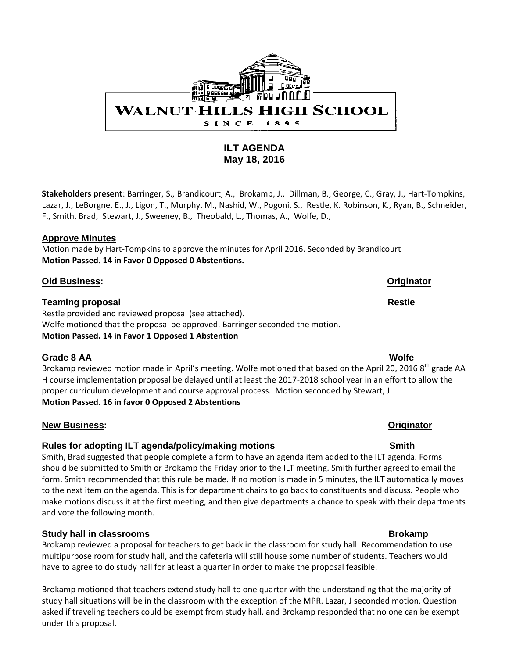

# **ILT AGENDA May 18, 2016**

**Stakeholders present**: Barringer, S., Brandicourt, A., Brokamp, J., Dillman, B., George, C., Gray, J., Hart-Tompkins, Lazar, J., LeBorgne, E., J., Ligon, T., Murphy, M., Nashid, W., Pogoni, S., Restle, K. Robinson, K., Ryan, B., Schneider, F., Smith, Brad, Stewart, J., Sweeney, B., Theobald, L., Thomas, A., Wolfe, D.,

### **Approve Minutes**

Motion made by Hart-Tompkins to approve the minutes for April 2016. Seconded by Brandicourt **Motion Passed. 14 in Favor 0 Opposed 0 Abstentions.**

### **Old Business: Originator**

### **Teaming proposal Restle**

Restle provided and reviewed proposal (see attached). Wolfe motioned that the proposal be approved. Barringer seconded the motion. **Motion Passed. 14 in Favor 1 Opposed 1 Abstention** 

### **Grade 8 AA Wolfe**

Brokamp reviewed motion made in April's meeting. Wolfe motioned that based on the April 20, 2016 8<sup>th</sup> grade AA H course implementation proposal be delayed until at least the 2017-2018 school year in an effort to allow the proper curriculum development and course approval process. Motion seconded by Stewart, J. **Motion Passed. 16 in favor 0 Opposed 2 Abstentions**

# **New Business: Originator**

# Rules for adopting ILT agenda/policy/making motions **SMICO SMITT** Smith

Smith, Brad suggested that people complete a form to have an agenda item added to the ILT agenda. Forms should be submitted to Smith or Brokamp the Friday prior to the ILT meeting. Smith further agreed to email the form. Smith recommended that this rule be made. If no motion is made in 5 minutes, the ILT automatically moves to the next item on the agenda. This is for department chairs to go back to constituents and discuss. People who make motions discuss it at the first meeting, and then give departments a chance to speak with their departments and vote the following month.

# **Study hall in classrooms Brokamp Brokamp**

Brokamp reviewed a proposal for teachers to get back in the classroom for study hall. Recommendation to use multipurpose room for study hall, and the cafeteria will still house some number of students. Teachers would have to agree to do study hall for at least a quarter in order to make the proposal feasible.

Brokamp motioned that teachers extend study hall to one quarter with the understanding that the majority of study hall situations will be in the classroom with the exception of the MPR. Lazar, J seconded motion. Question asked if traveling teachers could be exempt from study hall, and Brokamp responded that no one can be exempt under this proposal.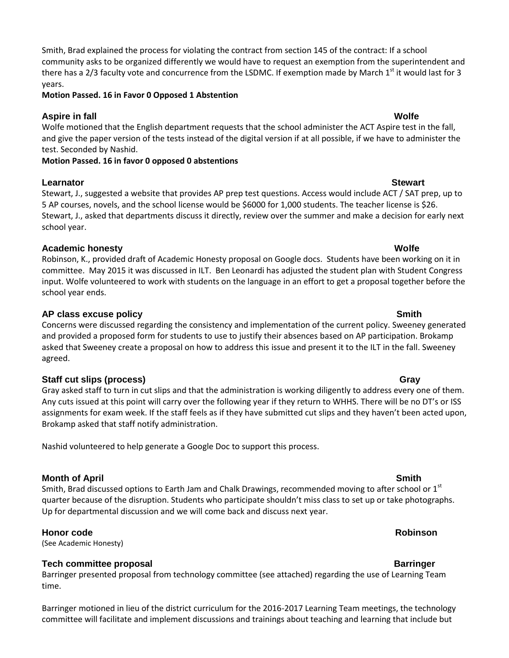## Smith, Brad explained the process for violating the contract from section 145 of the contract: If a school community asks to be organized differently we would have to request an exemption from the superintendent and there has a 2/3 faculty vote and concurrence from the LSDMC. If exemption made by March  $1<sup>st</sup>$  it would last for 3 years.

**Motion Passed. 16 in Favor 0 Opposed 1 Abstention** 

# **Aspire in fall Wolfe**

Wolfe motioned that the English department requests that the school administer the ACT Aspire test in the fall, and give the paper version of the tests instead of the digital version if at all possible, if we have to administer the test. Seconded by Nashid.

### **Motion Passed. 16 in favor 0 opposed 0 abstentions**

### **Learnator** Stewart

Stewart, J., suggested a website that provides AP prep test questions. Access would include ACT / SAT prep, up to 5 AP courses, novels, and the school license would be \$6000 for 1,000 students. The teacher license is \$26. Stewart, J., asked that departments discuss it directly, review over the summer and make a decision for early next school year.

# **Academic honesty Wolfe**

Robinson, K., provided draft of Academic Honesty proposal on Google docs. Students have been working on it in committee. May 2015 it was discussed in ILT. Ben Leonardi has adjusted the student plan with Student Congress input. Wolfe volunteered to work with students on the language in an effort to get a proposal together before the school year ends.

# **AP** class excuse policy Smith

Concerns were discussed regarding the consistency and implementation of the current policy. Sweeney generated and provided a proposed form for students to use to justify their absences based on AP participation. Brokamp asked that Sweeney create a proposal on how to address this issue and present it to the ILT in the fall. Sweeney agreed.

# **Staff cut slips (process)** Gray

Gray asked staff to turn in cut slips and that the administration is working diligently to address every one of them. Any cuts issued at this point will carry over the following year if they return to WHHS. There will be no DT's or ISS assignments for exam week. If the staff feels as if they have submitted cut slips and they haven't been acted upon, Brokamp asked that staff notify administration.

Nashid volunteered to help generate a Google Doc to support this process.

# **Month of April Smith**

Smith, Brad discussed options to Earth Jam and Chalk Drawings, recommended moving to after school or 1<sup>st</sup> quarter because of the disruption. Students who participate shouldn't miss class to set up or take photographs. Up for departmental discussion and we will come back and discuss next year.

# **Honor code Robinson**

(See Academic Honesty)

# **Tech committee proposal and a set of the set of the set of the set of the set of the set of the set of the set of the set of the set of the set of the set of the set of the set of the set of the set of the set of the set**

Barringer presented proposal from technology committee (see attached) regarding the use of Learning Team time.

Barringer motioned in lieu of the district curriculum for the 2016-2017 Learning Team meetings, the technology committee will facilitate and implement discussions and trainings about teaching and learning that include but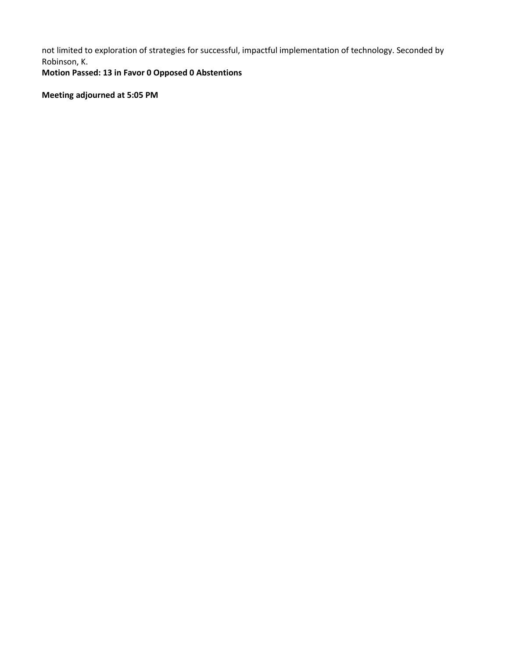not limited to exploration of strategies for successful, impactful implementation of technology. Seconded by Robinson, K.

**Motion Passed: 13 in Favor 0 Opposed 0 Abstentions**

**Meeting adjourned at 5:05 PM**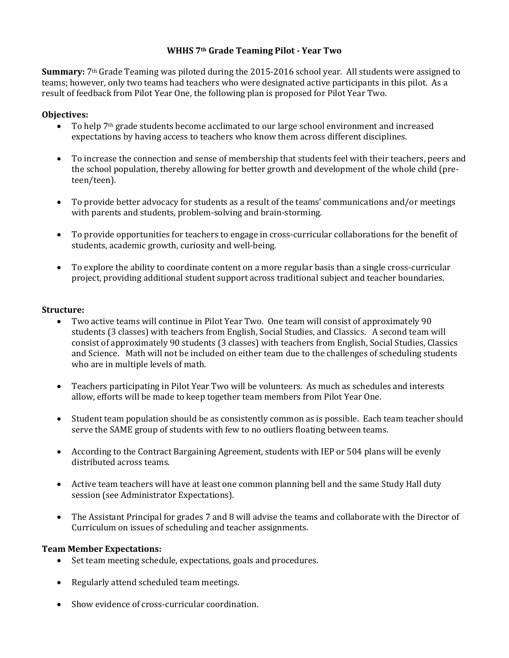# **WHHS 7th Grade Teaming Pilot - Year Two**

**Summary:** 7th Grade Teaming was piloted during the 2015-2016 school year. All students were assigned to teams; however, only two teams had teachers who were designated active participants in this pilot. As a result of feedback from Pilot Year One, the following plan is proposed for Pilot Year Two.

## **Objectives:**

- To help 7th grade students become acclimated to our large school environment and increased expectations by having access to teachers who know them across different disciplines.
- To increase the connection and sense of membership that students feel with their teachers, peers and the school population, thereby allowing for better growth and development of the whole child (preteen/teen).
- To provide better advocacy for students as a result of the teams' communications and/or meetings with parents and students, problem-solving and brain-storming.
- To provide opportunities for teachers to engage in cross-curricular collaborations for the benefit of students, academic growth, curiosity and well-being.
- To explore the ability to coordinate content on a more regular basis than a single cross-curricular project, providing additional student support across traditional subject and teacher boundaries.

### **Structure:**

- Two active teams will continue in Pilot Year Two. One team will consist of approximately 90 students (3 classes) with teachers from English, Social Studies, and Classics. A second team will consist of approximately 90 students (3 classes) with teachers from English, Social Studies, Classics and Science. Math will not be included on either team due to the challenges of scheduling students who are in multiple levels of math.
- Teachers participating in Pilot Year Two will be volunteers. As much as schedules and interests allow, efforts will be made to keep together team members from Pilot Year One.
- Student team population should be as consistently common as is possible. Each team teacher should serve the SAME group of students with few to no outliers floating between teams.
- According to the Contract Bargaining Agreement, students with IEP or 504 plans will be evenly distributed across teams.
- Active team teachers will have at least one common planning bell and the same Study Hall duty session (see Administrator Expectations).
- The Assistant Principal for grades 7 and 8 will advise the teams and collaborate with the Director of Curriculum on issues of scheduling and teacher assignments.

### **Team Member Expectations:**

- Set team meeting schedule, expectations, goals and procedures.
- Regularly attend scheduled team meetings.
- Show evidence of cross-curricular coordination.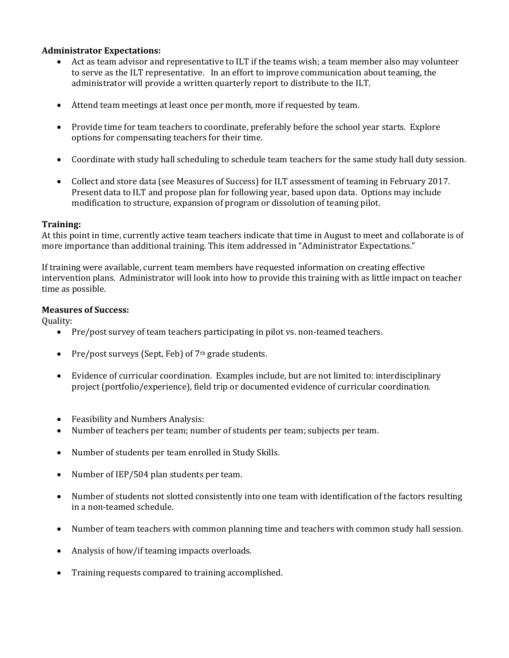### **Administrator Expectations:**

- Act as team advisor and representative to ILT if the teams wish; a team member also may volunteer to serve as the ILT representative. In an effort to improve communication about teaming, the administrator will provide a written quarterly report to distribute to the ILT.
- Attend team meetings at least once per month, more if requested by team.
- Provide time for team teachers to coordinate, preferably before the school year starts. Explore options for compensating teachers for their time.
- Coordinate with study hall scheduling to schedule team teachers for the same study hall duty session.
- Collect and store data (see Measures of Success) for ILT assessment of teaming in February 2017. Present data to ILT and propose plan for following year, based upon data. Options may include modification to structure, expansion of program or dissolution of teaming pilot.

### **Training:**

At this point in time, currently active team teachers indicate that time in August to meet and collaborate is of more importance than additional training. This item addressed in "Administrator Expectations."

If training were available, current team members have requested information on creating effective intervention plans. Administrator will look into how to provide this training with as little impact on teacher time as possible.

### **Measures of Success:**

Quality:

- Pre/post survey of team teachers participating in pilot vs. non-teamed teachers.
- Pre/post surveys (Sept, Feb) of  $7<sup>th</sup>$  grade students.
- Evidence of curricular coordination. Examples include, but are not limited to: interdisciplinary project (portfolio/experience), field trip or documented evidence of curricular coordination.
- Feasibility and Numbers Analysis:
- Number of teachers per team; number of students per team; subjects per team.
- Number of students per team enrolled in Study Skills.
- Number of IEP/504 plan students per team.
- Number of students not slotted consistently into one team with identification of the factors resulting in a non-teamed schedule.
- Number of team teachers with common planning time and teachers with common study hall session.
- Analysis of how/if teaming impacts overloads.
- Training requests compared to training accomplished.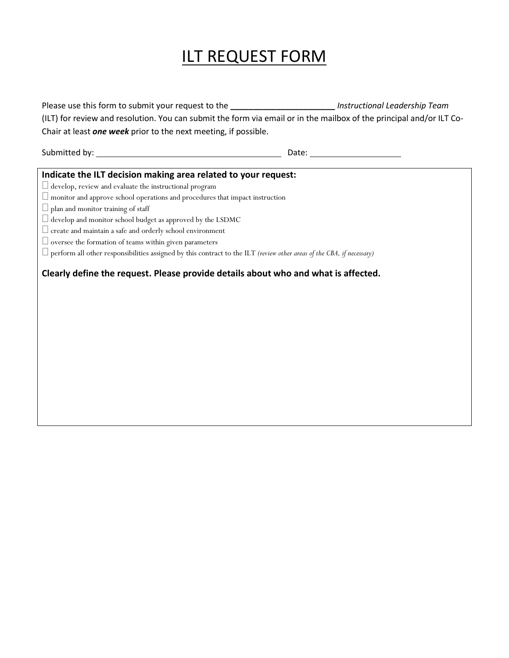# ILT REQUEST FORM

| Please use this form to submit your request to the __________________________ Instructional Leadership Team                  |                                 |
|------------------------------------------------------------------------------------------------------------------------------|---------------------------------|
| (ILT) for review and resolution. You can submit the form via email or in the mailbox of the principal and/or ILT Co-         |                                 |
| Chair at least one week prior to the next meeting, if possible.                                                              |                                 |
|                                                                                                                              |                                 |
|                                                                                                                              | Date: _________________________ |
|                                                                                                                              |                                 |
| Indicate the ILT decision making area related to your request:                                                               |                                 |
| $\Box$ develop, review and evaluate the instructional program                                                                |                                 |
| $\Box$ monitor and approve school operations and procedures that impact instruction                                          |                                 |
| $\Box$ plan and monitor training of staff                                                                                    |                                 |
| $\Box$ develop and monitor school budget as approved by the LSDMC                                                            |                                 |
| $\Box$ create and maintain a safe and orderly school environment                                                             |                                 |
| $\Box$ oversee the formation of teams within given parameters                                                                |                                 |
| $\Box$ perform all other responsibilities assigned by this contract to the ILT (review other areas of the CBA, if necessary) |                                 |
| Clearly define the request. Please provide details about who and what is affected.                                           |                                 |
|                                                                                                                              |                                 |
|                                                                                                                              |                                 |
|                                                                                                                              |                                 |
|                                                                                                                              |                                 |
|                                                                                                                              |                                 |
|                                                                                                                              |                                 |
|                                                                                                                              |                                 |
|                                                                                                                              |                                 |
|                                                                                                                              |                                 |
|                                                                                                                              |                                 |
|                                                                                                                              |                                 |